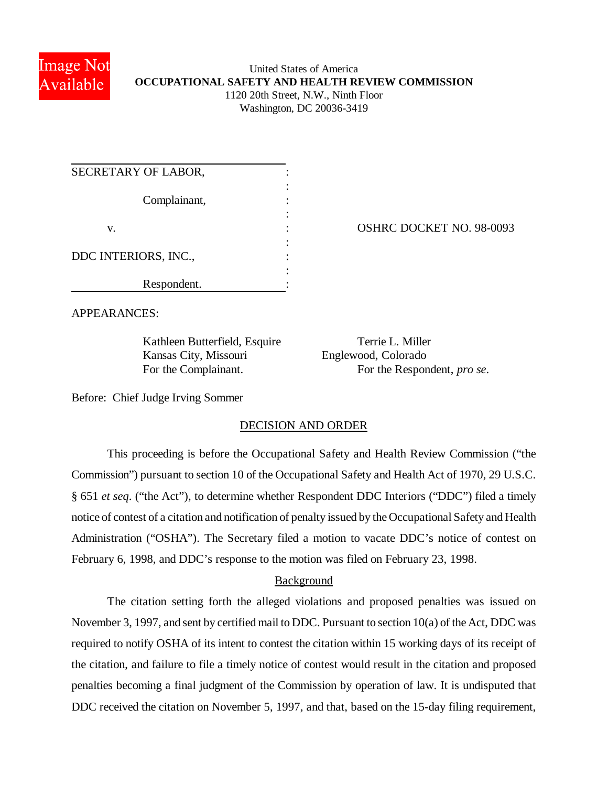

## United States of America **OCCUPATIONAL SAFETY AND HEALTH REVIEW COMMISSION** 1120 20th Street, N.W., Ninth Floor Washington, DC 20036-3419

| SECRETARY OF LABOR,  |  |
|----------------------|--|
| Complainant,         |  |
| V.                   |  |
| DDC INTERIORS, INC., |  |
| Respondent.          |  |

OSHRC DOCKET NO. 98-0093

APPEARANCES:

Kathleen Butterfield, Esquire Terrie L. Miller Kansas City, Missouri Englewood, Colorado

For the Complainant. For the Respondent, *pro se*.

Before: Chief Judge Irving Sommer

# DECISION AND ORDER

This proceeding is before the Occupational Safety and Health Review Commission ("the Commission") pursuant to section 10 of the Occupational Safety and Health Act of 1970, 29 U.S.C. § 651 *et seq*. ("the Act"), to determine whether Respondent DDC Interiors ("DDC") filed a timely notice of contest of a citation and notification of penalty issued by the Occupational Safety and Health Administration ("OSHA"). The Secretary filed a motion to vacate DDC's notice of contest on February 6, 1998, and DDC's response to the motion was filed on February 23, 1998.

# Background

The citation setting forth the alleged violations and proposed penalties was issued on November 3, 1997, and sent by certified mail to DDC. Pursuant to section 10(a) of the Act, DDC was required to notify OSHA of its intent to contest the citation within 15 working days of its receipt of the citation, and failure to file a timely notice of contest would result in the citation and proposed penalties becoming a final judgment of the Commission by operation of law. It is undisputed that DDC received the citation on November 5, 1997, and that, based on the 15-day filing requirement,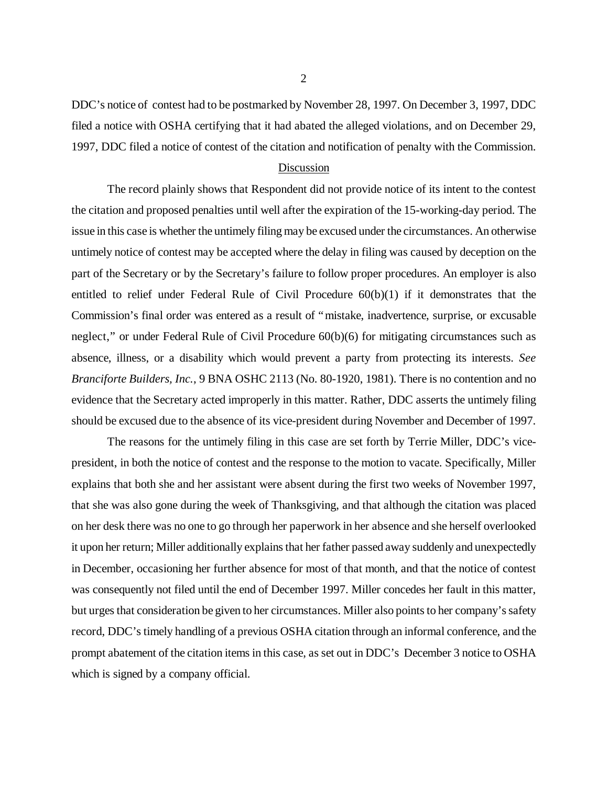DDC's notice of contest had to be postmarked by November 28, 1997. On December 3, 1997, DDC filed a notice with OSHA certifying that it had abated the alleged violations, and on December 29, 1997, DDC filed a notice of contest of the citation and notification of penalty with the Commission.

#### Discussion

The record plainly shows that Respondent did not provide notice of its intent to the contest the citation and proposed penalties until well after the expiration of the 15-working-day period. The issue in this case is whether the untimely filing may be excused under the circumstances. An otherwise untimely notice of contest may be accepted where the delay in filing was caused by deception on the part of the Secretary or by the Secretary's failure to follow proper procedures. An employer is also entitled to relief under Federal Rule of Civil Procedure 60(b)(1) if it demonstrates that the Commission's final order was entered as a result of "mistake, inadvertence, surprise, or excusable neglect," or under Federal Rule of Civil Procedure 60(b)(6) for mitigating circumstances such as absence, illness, or a disability which would prevent a party from protecting its interests. *See Branciforte Builders, Inc.*, 9 BNA OSHC 2113 (No. 80-1920, 1981). There is no contention and no evidence that the Secretary acted improperly in this matter. Rather, DDC asserts the untimely filing should be excused due to the absence of its vice-president during November and December of 1997.

The reasons for the untimely filing in this case are set forth by Terrie Miller, DDC's vicepresident, in both the notice of contest and the response to the motion to vacate. Specifically, Miller explains that both she and her assistant were absent during the first two weeks of November 1997, that she was also gone during the week of Thanksgiving, and that although the citation was placed on her desk there was no one to go through her paperwork in her absence and she herself overlooked it upon her return; Miller additionally explains that her father passed away suddenly and unexpectedly in December, occasioning her further absence for most of that month, and that the notice of contest was consequently not filed until the end of December 1997. Miller concedes her fault in this matter, but urges that consideration be given to her circumstances. Miller also points to her company's safety record, DDC's timely handling of a previous OSHA citation through an informal conference, and the prompt abatement of the citation items in this case, as set out in DDC's December 3 notice to OSHA which is signed by a company official.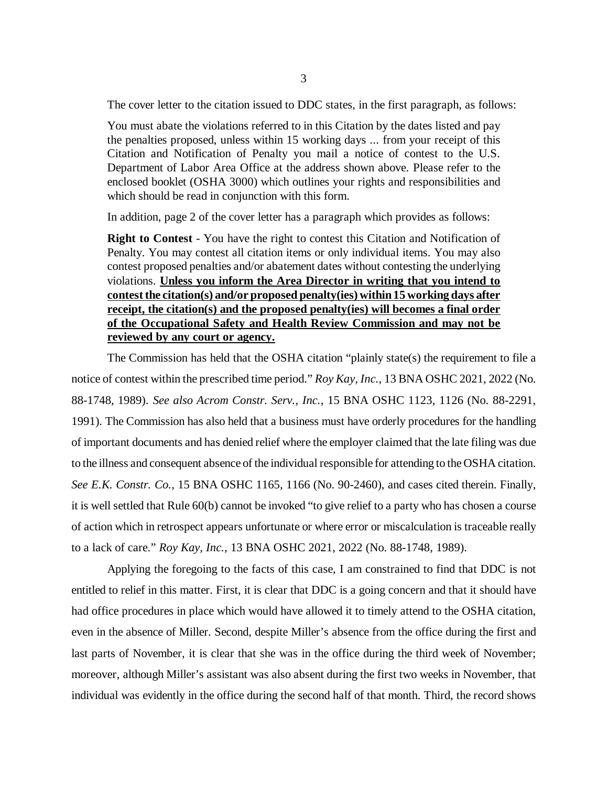The cover letter to the citation issued to DDC states, in the first paragraph, as follows:

You must abate the violations referred to in this Citation by the dates listed and pay the penalties proposed, unless within 15 working days ... from your receipt of this Citation and Notification of Penalty you mail a notice of contest to the U.S. Department of Labor Area Office at the address shown above. Please refer to the enclosed booklet (OSHA 3000) which outlines your rights and responsibilities and which should be read in conjunction with this form.

In addition, page 2 of the cover letter has a paragraph which provides as follows:

**Right to Contest** - You have the right to contest this Citation and Notification of Penalty. You may contest all citation items or only individual items. You may also contest proposed penalties and/or abatement dates without contesting the underlying violations. **Unless you inform the Area Director in writing that you intend to contest the citation(s) and/or proposed penalty(ies) within 15 working days after receipt, the citation(s) and the proposed penalty(ies) will becomes a final order of the Occupational Safety and Health Review Commission and may not be reviewed by any court or agency.**

The Commission has held that the OSHA citation "plainly state(s) the requirement to file a notice of contest within the prescribed time period." *Roy Kay, Inc.*, 13 BNA OSHC 2021, 2022 (No. 88-1748, 1989). *See also Acrom Constr. Serv., Inc.*, 15 BNA OSHC 1123, 1126 (No. 88-2291, 1991). The Commission has also held that a business must have orderly procedures for the handling of important documents and has denied relief where the employer claimed that the late filing was due to the illness and consequent absence of the individual responsible for attending to the OSHA citation. *See E.K. Constr. Co.*, 15 BNA OSHC 1165, 1166 (No. 90-2460), and cases cited therein. Finally, it is well settled that Rule 60(b) cannot be invoked "to give relief to a party who has chosen a course of action which in retrospect appears unfortunate or where error or miscalculation is traceable really to a lack of care." *Roy Kay, Inc.*, 13 BNA OSHC 2021, 2022 (No. 88-1748, 1989).

Applying the foregoing to the facts of this case, I am constrained to find that DDC is not entitled to relief in this matter. First, it is clear that DDC is a going concern and that it should have had office procedures in place which would have allowed it to timely attend to the OSHA citation, even in the absence of Miller. Second, despite Miller's absence from the office during the first and last parts of November, it is clear that she was in the office during the third week of November; moreover, although Miller's assistant was also absent during the first two weeks in November, that individual was evidently in the office during the second half of that month. Third, the record shows